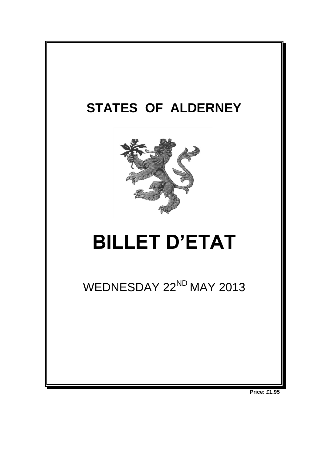

**Price: £1.95**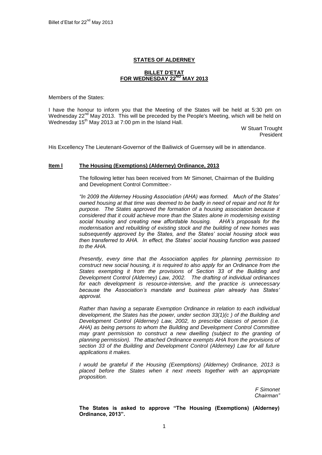# **STATES OF ALDERNEY**

### **BILLET D'ETAT FOR WEDNESDAY 22ND MAY 2013**

Members of the States:

I have the honour to inform you that the Meeting of the States will be held at 5:30 pm on Wednesday 22<sup>nd</sup> May 2013. This will be preceded by the People's Meeting, which will be held on Wednesday  $15<sup>th</sup>$  May 2013 at 7:00 pm in the Island Hall.

> W Stuart Trought President

His Excellency The Lieutenant-Governor of the Bailiwick of Guernsey will be in attendance.

#### **Item l The Housing (Exemptions) (Alderney) Ordinance, 2013**

The following letter has been received from Mr Simonet, Chairman of the Building and Development Control Committee:-

*"In 2009 the Alderney Housing Association (AHA) was formed. Much of the States' owned housing at that time was deemed to be badly in need of repair and not fit for purpose. The States approved the formation of a housing association because it considered that it could achieve more than the States alone in modernising existing social housing and creating new affordable housing. AHA's proposals for the modernisation and rebuilding of existing stock and the building of new homes was subsequently approved by the States, and the States' social housing stock was then transferred to AHA. In effect, the States' social housing function was passed to the AHA.*

*Presently, every time that the Association applies for planning permission to construct new social housing, it is required to also apply for an Ordinance from the States exempting it from the provisions of Section 33 of the Building and Development Control (Alderney) Law, 2002. The drafting of individual ordinances for each development is resource-intensive, and the practice is unnecessary because the Association's mandate and business plan already has States' approval.*

*Rather than having a separate Exemption Ordinance in relation to each individual development, the States has the power, under section 33(1)(c ) of the Building and Development Control (Alderney) Law, 2002, to prescribe classes of person (i.e. AHA) as being persons to whom the Building and Development Control Committee may grant permission to construct a new dwelling (subject to the granting of planning permission). The attached Ordinance exempts AHA from the provisions of section 33 of the Building and Development Control (Alderney) Law for all future applications it makes.* 

*I* would be grateful if the Housing (Exemptions) (Alderney) Ordinance, 2013 is placed before the States when it next meets together with an appropriate *proposition.*

> *F Simonet Chairman"*

**The States is asked to approve "The Housing (Exemptions) (Alderney) Ordinance, 2013".**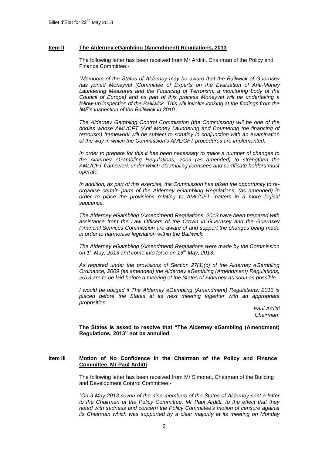# **Item lI The Alderney eGambling (Amendment) Regulations, 2013**

The following letter has been received from Mr Arditti, Chairman of the Policy and Finance Committee:-

*"Members of the States of Alderney may be aware that the Bailiwick of Guernsey has joined Moneyval (Committee of Experts on the Evaluation of Anti-Money Laundering Measures and the Financing of Terrorism, a monitoring body of the Council of Europe) and as part of this process Moneyval will be undertaking a follow-up inspection of the Bailiwick. This will involve looking at the findings from the IMF's inspection of the Bailiwick in 2010.* 

*The Alderney Gambling Control Commission (the Commission) will be one of the bodies whose AML/CFT (Anti Money Laundering and Countering the financing of terrorism) framework will be subject to scrutiny in conjunction with an examination of the way in which the Commission's AML/CFT procedures are implemented.* 

*In order to prepare for this it has been necessary to make a number of changes to the Alderney eGambling Regulations, 2009 (as amended) to strengthen the AML/CFT framework under which eGambling licensees and certificate holders must operate.*

*In addition, as part of this exercise, the Commission has taken the opportunity to reorganise certain parts of the Alderney eGambling Regulations, (as amended) in order to place the provisions relating to AML/CFT matters in a more logical sequence.*

*The Alderney eGambling (Amendment) Regulations, 2013 have been prepared with assistance from the Law Officers of the Crown in Guernsey and the Guernsey Financial Services Commission are aware of and support the changes being made in order to harmonise legislation within the Bailiwick.* 

*The Alderney eGambling (Amendment) Regulations were made by the Commission on 1st May, 2013 and come into force on 15th May, 2013.*

*As required under the provisions of Section 27(1)(c) of the Alderney eGambling Ordinance, 2009 (as amended) the Alderney eGambling (Amendment) Regulations, 2013 are to be laid before a meeting of the States of Alderney as soon as possible.*

*I* would be obliged if The Alderney eGambling (Amendment) Regulations, 2013 is *placed before the States at its next meeting together with an appropriate proposition.*

*Paul Arditti Chairman"*

**The States is asked to resolve that "The Alderney eGambling (Amendment) Regulations, 2013" not be annulled.**

# **Item IlI Motion of No Confidence in the Chairman of the Policy and Finance Committee, Mr Paul Arditti**

The following letter has been received from Mr Simonet, Chairman of the Building and Development Control Committee:-

*"On 3 May 2013 seven of the nine members of the States of Alderney sent a letter to the Chairman of the Policy Committee, Mr Paul Arditti, to the effect that they noted with sadness and concern the Policy Committee's motion of censure against its Chairman which was supported by a clear majority at its meeting on Monday*